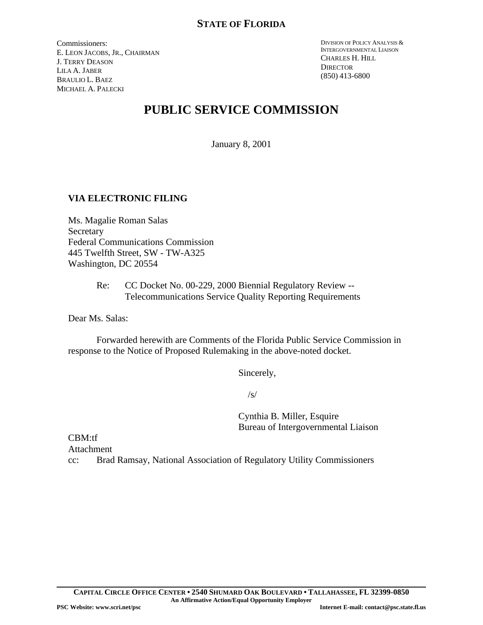Commissioners: E. LEON JACOBS, JR., CHAIRMAN J. TERRY DEASON LILA A. JABER BRAULIO L. BAEZ MICHAEL A. PALECKI

DIVISION OF POLICY ANALYSIS & INTERGOVERNMENTAL LIAISON CHARLES H. HILL **DIRECTOR** (850) 413-6800

# **PUBLIC SERVICE COMMISSION**

January 8, 2001

## **VIA ELECTRONIC FILING**

Ms. Magalie Roman Salas **Secretary** Federal Communications Commission 445 Twelfth Street, SW - TW-A325 Washington, DC 20554

> Re: CC Docket No. 00-229, 2000 Biennial Regulatory Review -- Telecommunications Service Quality Reporting Requirements

Dear Ms. Salas:

Forwarded herewith are Comments of the Florida Public Service Commission in response to the Notice of Proposed Rulemaking in the above-noted docket.

Sincerely,

 $\sqrt{s}$ 

Cynthia B. Miller, Esquire Bureau of Intergovernmental Liaison

CBM:tf

Attachment

cc: Brad Ramsay, National Association of Regulatory Utility Commissioners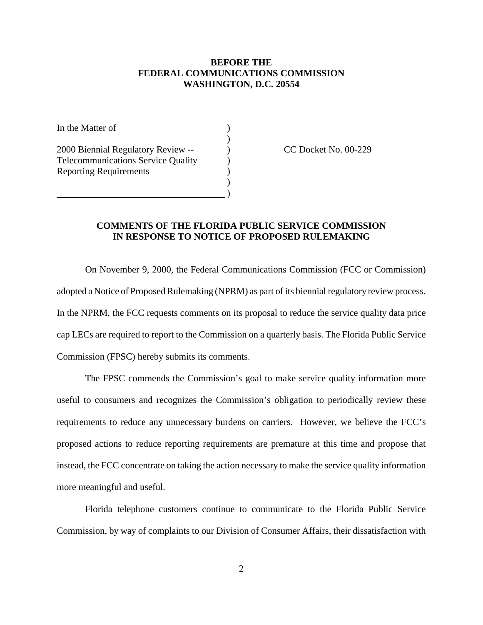### **BEFORE THE FEDERAL COMMUNICATIONS COMMISSION WASHINGTON, D.C. 20554**

)

)

In the Matter of  $\qquad \qquad$  ) 2000 Biennial Regulatory Review -- ) CC Docket No. 00-229 Telecommunications Service Quality (a) Reporting Requirements )

 $\qquad \qquad \qquad$ 

#### **COMMENTS OF THE FLORIDA PUBLIC SERVICE COMMISSION IN RESPONSE TO NOTICE OF PROPOSED RULEMAKING**

On November 9, 2000, the Federal Communications Commission (FCC or Commission) adopted a Notice of Proposed Rulemaking (NPRM) as part of its biennial regulatory review process. In the NPRM, the FCC requests comments on its proposal to reduce the service quality data price cap LECs are required to report to the Commission on a quarterly basis. The Florida Public Service Commission (FPSC) hereby submits its comments.

The FPSC commends the Commission's goal to make service quality information more useful to consumers and recognizes the Commission's obligation to periodically review these requirements to reduce any unnecessary burdens on carriers. However, we believe the FCC's proposed actions to reduce reporting requirements are premature at this time and propose that instead, the FCC concentrate on taking the action necessary to make the service quality information more meaningful and useful.

Florida telephone customers continue to communicate to the Florida Public Service Commission, by way of complaints to our Division of Consumer Affairs, their dissatisfaction with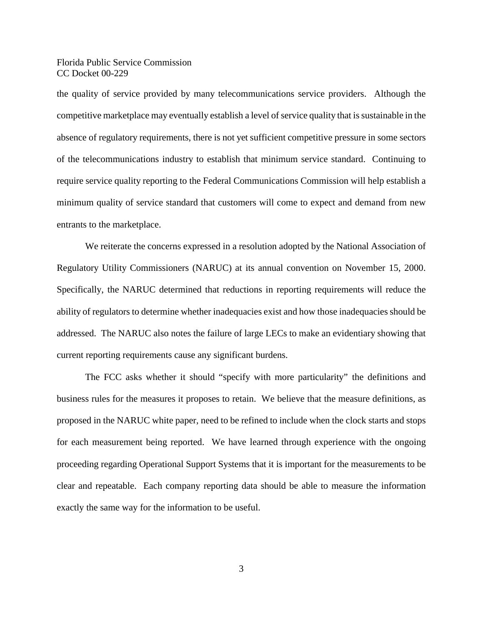Florida Public Service Commission CC Docket 00-229

the quality of service provided by many telecommunications service providers. Although the competitive market place may eventually establish a level of service quality that is sustainable in the absence of regulatory requirements, there is not yet sufficient competitive pressure in some sectors of the telecommunications industry to establish that minimum service standard. Continuing to require service quality reporting to the Federal Communications Commission will help establish a minimum quality of service standard that customers will come to expect and demand from new entrants to the marketplace.

We reiterate the concerns expressed in a resolution adopted by the National Association of Regulatory Utility Commissioners (NARUC) at its annual convention on November 15, 2000. Specifically, the NARUC determined that reductions in reporting requirements will reduce the ability of regulators to determine whether inadequacies exist and how those inadequacies should be addressed. The NARUC also notes the failure of large LECs to make an evidentiary showing that current reporting requirements cause any significant burdens.

The FCC asks whether it should "specify with more particularity" the definitions and business rules for the measures it proposes to retain. We believe that the measure definitions, as proposed in the NARUC white paper, need to be refined to include when the clock starts and stops for each measurement being reported. We have learned through experience with the ongoing proceeding regarding Operational Support Systems that it is important for the measurements to be clear and repeatable. Each company reporting data should be able to measure the information exactly the same way for the information to be useful.